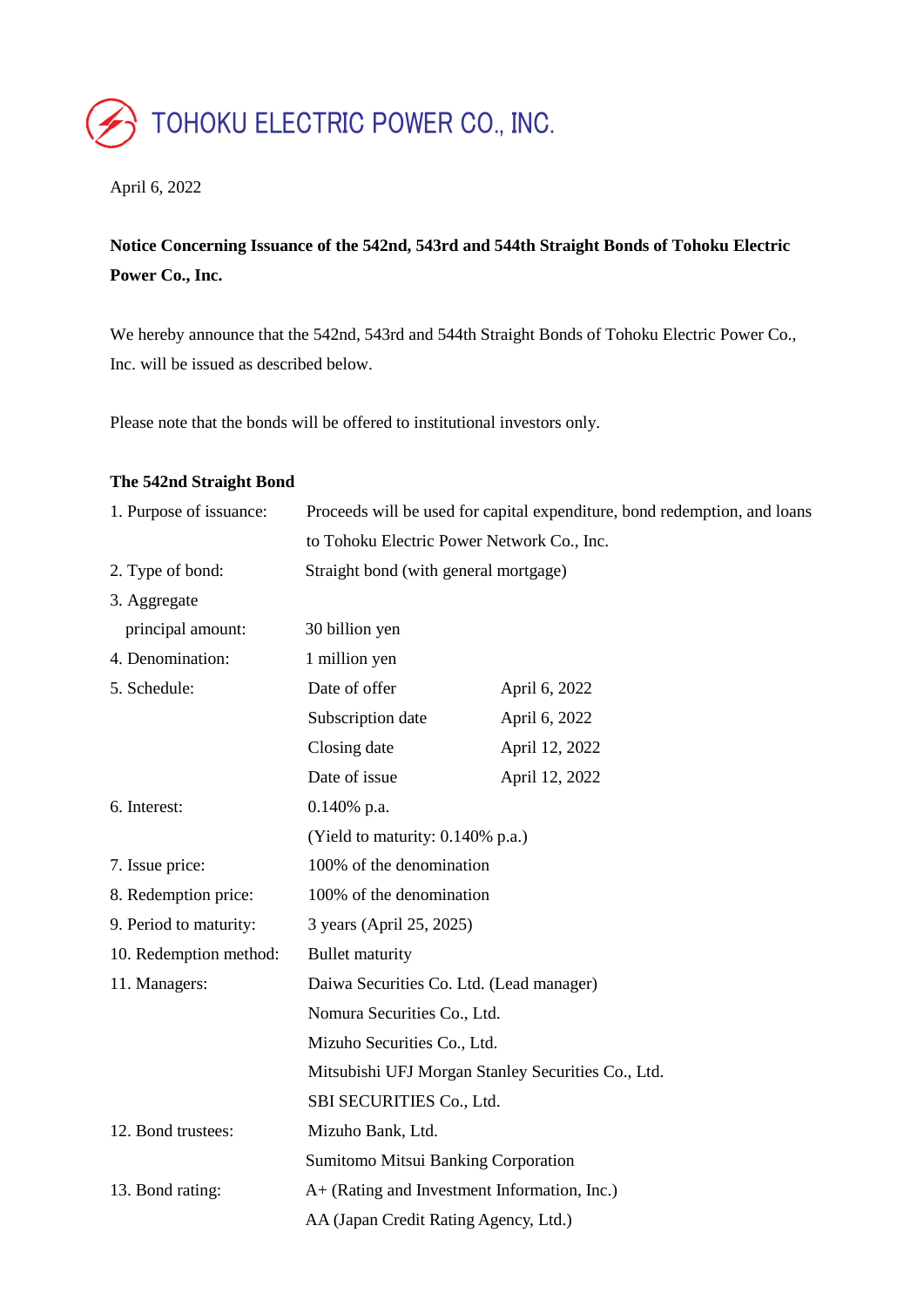# TOHOKU ELECTRIC POWER CO., INC.

#### April 6, 2022

# **Notice Concerning Issuance of the 542nd, 543rd and 544th Straight Bonds of Tohoku Electric Power Co., Inc.**

We hereby announce that the 542nd, 543rd and 544th Straight Bonds of Tohoku Electric Power Co., Inc. will be issued as described below.

Please note that the bonds will be offered to institutional investors only.

#### **The 542nd Straight Bond**

| 1. Purpose of issuance: | Proceeds will be used for capital expenditure, bond redemption, and loans |                |  |
|-------------------------|---------------------------------------------------------------------------|----------------|--|
|                         | to Tohoku Electric Power Network Co., Inc.                                |                |  |
| 2. Type of bond:        | Straight bond (with general mortgage)                                     |                |  |
| 3. Aggregate            |                                                                           |                |  |
| principal amount:       | 30 billion yen                                                            |                |  |
| 4. Denomination:        | 1 million yen                                                             |                |  |
| 5. Schedule:            | Date of offer                                                             | April 6, 2022  |  |
|                         | Subscription date                                                         | April 6, 2022  |  |
|                         | Closing date                                                              | April 12, 2022 |  |
|                         | Date of issue                                                             | April 12, 2022 |  |
| 6. Interest:            | $0.140\%$ p.a.                                                            |                |  |
|                         | (Yield to maturity: 0.140% p.a.)                                          |                |  |
| 7. Issue price:         | 100% of the denomination                                                  |                |  |
| 8. Redemption price:    | 100% of the denomination                                                  |                |  |
| 9. Period to maturity:  | 3 years (April 25, 2025)                                                  |                |  |
| 10. Redemption method:  | <b>Bullet maturity</b>                                                    |                |  |
| 11. Managers:           | Daiwa Securities Co. Ltd. (Lead manager)                                  |                |  |
|                         | Nomura Securities Co., Ltd.                                               |                |  |
|                         | Mizuho Securities Co., Ltd.                                               |                |  |
|                         | Mitsubishi UFJ Morgan Stanley Securities Co., Ltd.                        |                |  |
|                         | SBI SECURITIES Co., Ltd.                                                  |                |  |
| 12. Bond trustees:      | Mizuho Bank, Ltd.                                                         |                |  |
|                         | Sumitomo Mitsui Banking Corporation                                       |                |  |
| 13. Bond rating:        | A+ (Rating and Investment Information, Inc.)                              |                |  |
|                         | AA (Japan Credit Rating Agency, Ltd.)                                     |                |  |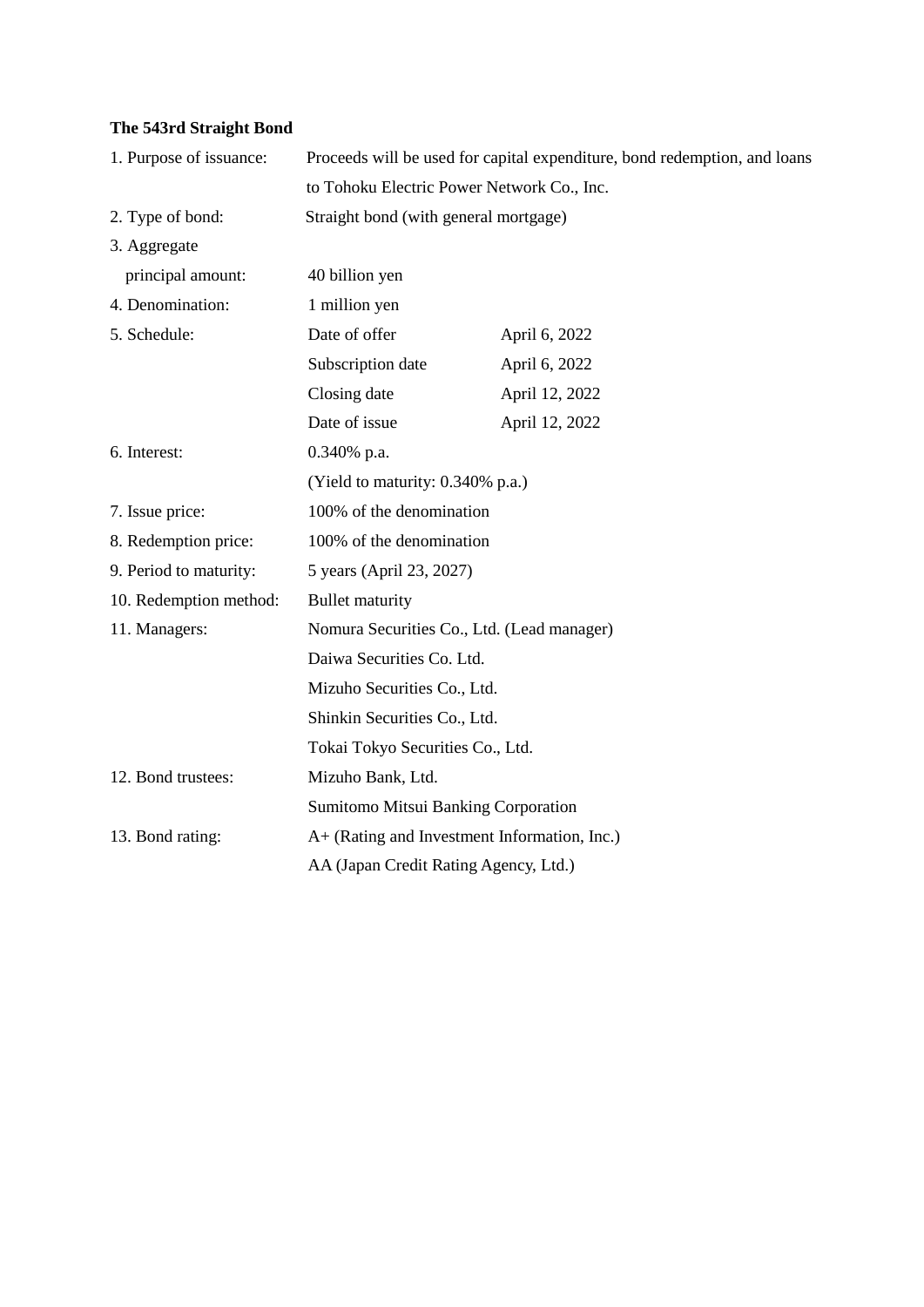## **The 543rd Straight Bond**

| 1. Purpose of issuance: | Proceeds will be used for capital expenditure, bond redemption, and loans             |                |  |
|-------------------------|---------------------------------------------------------------------------------------|----------------|--|
|                         | to Tohoku Electric Power Network Co., Inc.                                            |                |  |
| 2. Type of bond:        | Straight bond (with general mortgage)                                                 |                |  |
| 3. Aggregate            |                                                                                       |                |  |
| principal amount:       | 40 billion yen                                                                        |                |  |
| 4. Denomination:        | 1 million yen                                                                         |                |  |
| 5. Schedule:            | Date of offer                                                                         | April 6, 2022  |  |
|                         | Subscription date                                                                     | April 6, 2022  |  |
|                         | Closing date                                                                          | April 12, 2022 |  |
|                         | Date of issue                                                                         | April 12, 2022 |  |
| 6. Interest:            | 0.340% p.a.                                                                           |                |  |
|                         | (Yield to maturity: 0.340% p.a.)                                                      |                |  |
| 7. Issue price:         | 100% of the denomination                                                              |                |  |
| 8. Redemption price:    | 100% of the denomination                                                              |                |  |
| 9. Period to maturity:  | 5 years (April 23, 2027)                                                              |                |  |
| 10. Redemption method:  | <b>Bullet maturity</b>                                                                |                |  |
| 11. Managers:           | Nomura Securities Co., Ltd. (Lead manager)                                            |                |  |
|                         | Daiwa Securities Co. Ltd.                                                             |                |  |
|                         | Mizuho Securities Co., Ltd.                                                           |                |  |
|                         | Shinkin Securities Co., Ltd.                                                          |                |  |
|                         | Tokai Tokyo Securities Co., Ltd.                                                      |                |  |
| 12. Bond trustees:      | Mizuho Bank, Ltd.                                                                     |                |  |
|                         | <b>Sumitomo Mitsui Banking Corporation</b>                                            |                |  |
| 13. Bond rating:        | A+ (Rating and Investment Information, Inc.)<br>AA (Japan Credit Rating Agency, Ltd.) |                |  |
|                         |                                                                                       |                |  |